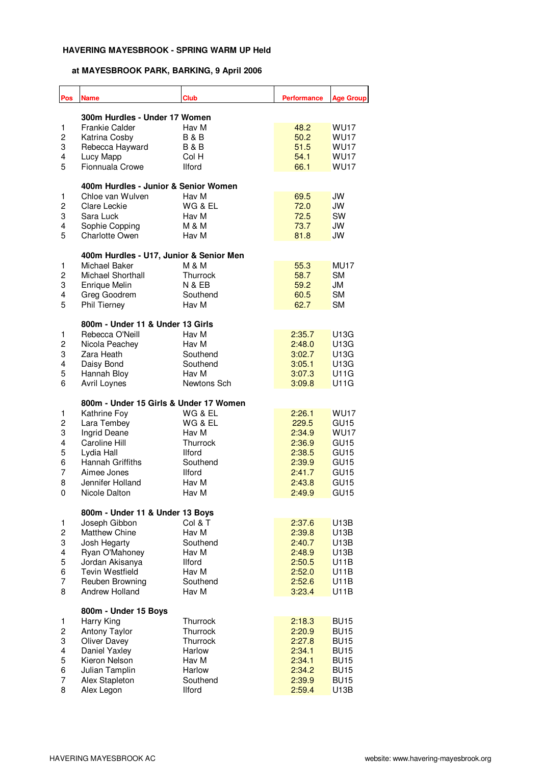| Pos            | <b>Name</b>                             | <b>Club</b>       | <b>Performance</b> | <b>Age Group</b> |  |  |
|----------------|-----------------------------------------|-------------------|--------------------|------------------|--|--|
|                | 300m Hurdles - Under 17 Women           |                   |                    |                  |  |  |
| 1              | <b>Frankie Calder</b>                   | Hav M             | 48.2               | <b>WU17</b>      |  |  |
| 2              | Katrina Cosby                           | <b>B&amp;B</b>    | 50.2               | <b>WU17</b>      |  |  |
| 3              | Rebecca Hayward                         | <b>B&amp;B</b>    | 51.5               | <b>WU17</b>      |  |  |
| 4              | Lucy Mapp                               | Col H             | 54.1               | <b>WU17</b>      |  |  |
| 5              | Fionnuala Crowe                         | <b>Ilford</b>     | 66.1               | <b>WU17</b>      |  |  |
|                |                                         |                   |                    |                  |  |  |
|                | 400m Hurdles - Junior & Senior Women    |                   |                    |                  |  |  |
| 1              | Chloe van Wulven                        | Hav M             | 69.5               | JW               |  |  |
| $\overline{c}$ | Clare Leckie                            | WG & EL           | 72.0               | JW               |  |  |
| 3              | Sara Luck                               | Hav M             | 72.5               | SW               |  |  |
| 4              | Sophie Copping                          | M & M             | 73.7               | JW               |  |  |
| 5              | <b>Charlotte Owen</b>                   | Hav M             | 81.8               | JW               |  |  |
|                | 400m Hurdles - U17, Junior & Senior Men |                   |                    |                  |  |  |
| 1              | Michael Baker                           | <b>M &amp; M</b>  | 55.3               | MU17             |  |  |
| 2              | Michael Shorthall                       | Thurrock          | 58.7               | <b>SM</b>        |  |  |
| 3              | Enrique Melin                           | <b>N &amp; EB</b> | 59.2               | JM               |  |  |
| 4              | Greg Goodrem                            | Southend          | 60.5               | <b>SM</b>        |  |  |
| 5              | <b>Phil Tierney</b>                     | Hav M             | 62.7               | <b>SM</b>        |  |  |
|                |                                         |                   |                    |                  |  |  |
|                | 800m - Under 11 & Under 13 Girls        |                   |                    |                  |  |  |
| 1              | Rebecca O'Neill                         | Hav M             | 2:35.7             | U13G             |  |  |
| $\overline{c}$ | Nicola Peachey                          | Hav M             | 2:48.0             | U13G             |  |  |
| 3              | Zara Heath                              | Southend          | 3:02.7             | U13G             |  |  |
| 4              | Daisy Bond                              | Southend          | 3:05.1             | U13G             |  |  |
| 5              | Hannah Bloy                             | Hav M             | 3:07.3             | U11G             |  |  |
| 6              | Avril Loynes                            | Newtons Sch       | 3:09.8             | U11G             |  |  |
|                | 800m - Under 15 Girls & Under 17 Women  |                   |                    |                  |  |  |
| 1              | Kathrine Foy                            | WG & EL           | 2:26.1             | <b>WU17</b>      |  |  |
| $\overline{c}$ | Lara Tembey                             | WG & EL           | 229.5              | GU <sub>15</sub> |  |  |
| 3              | Ingrid Deane                            | Hav M             | 2:34.9             | <b>WU17</b>      |  |  |
| 4              | Caroline Hill                           | Thurrock          | 2:36.9             | GU <sub>15</sub> |  |  |
| 5              | Lydia Hall                              | <b>Ilford</b>     | 2:38.5             | GU <sub>15</sub> |  |  |
| 6              | Hannah Griffiths                        | Southend          | 2:39.9             | GU <sub>15</sub> |  |  |
| $\overline{7}$ | Aimee Jones                             | <b>Ilford</b>     | 2:41.7             | GU <sub>15</sub> |  |  |
| 8              | Jennifer Holland                        | Hav M             | 2:43.8             | GU <sub>15</sub> |  |  |
| 0              | Nicole Dalton                           | Hav M             | 2:49.9             | GU <sub>15</sub> |  |  |
|                |                                         |                   |                    |                  |  |  |
|                | 800m - Under 11 & Under 13 Boys         |                   |                    |                  |  |  |
| 1              | Joseph Gibbon                           | Col & T           | 2:37.6             | U13B             |  |  |
| $\overline{c}$ | Matthew Chine                           | Hav M             | 2:39.8             | U13B             |  |  |
| 3              | Josh Hegarty                            | Southend          | 2:40.7             | U13B             |  |  |
| 4              | Ryan O'Mahoney                          | Hav M             | 2:48.9             | U13B             |  |  |
| 5              | Jordan Akisanya                         | <b>Ilford</b>     | 2:50.5             | U11B             |  |  |
| 6              | <b>Tevin Westfield</b>                  | Hav M             | 2:52.0             | U11B             |  |  |
| $\overline{7}$ | Reuben Browning                         | Southend          | 2:52.6             | U11B             |  |  |
| 8              | Andrew Holland                          | Hav M             | 3:23.4             | U11B             |  |  |
|                | 800m - Under 15 Boys                    |                   |                    |                  |  |  |
| 1              | Harry King                              | Thurrock          | 2:18.3             | <b>BU15</b>      |  |  |
| 2              | <b>Antony Taylor</b>                    | Thurrock          | 2:20.9             | <b>BU15</b>      |  |  |
| 3              | Oliver Davey                            | Thurrock          | 2:27.8             | <b>BU15</b>      |  |  |
| 4              | Daniel Yaxley                           | Harlow            | 2:34.1             | <b>BU15</b>      |  |  |
| 5              | Kieron Nelson                           | Hav M             | 2:34.1             | <b>BU15</b>      |  |  |
| 6              | Julian Tamplin                          | Harlow            | 2:34.2             | <b>BU15</b>      |  |  |
| $\overline{7}$ | Alex Stapleton                          | Southend          | 2:39.9             | <b>BU15</b>      |  |  |
| 8              | Alex Legon                              | <b>Ilford</b>     | 2:59.4             | U13B             |  |  |
|                |                                         |                   |                    |                  |  |  |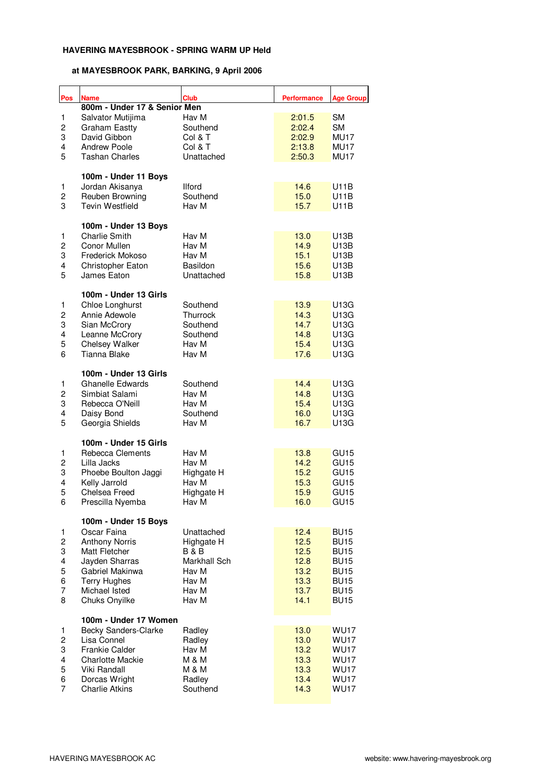| Pos                     | <b>Name</b>                  | <b>Club</b>     | <b>Performance</b> | <b>Age Group</b> |
|-------------------------|------------------------------|-----------------|--------------------|------------------|
|                         | 800m - Under 17 & Senior Men |                 |                    |                  |
| 1                       | Salvator Mutijima            | Hav M           | 2:01.5             | <b>SM</b>        |
| $\overline{c}$          | <b>Graham Eastty</b>         | Southend        | 2:02.4             | <b>SM</b>        |
| 3                       | David Gibbon                 | Col & T         | 2:02.9             | MU17             |
| 4                       | <b>Andrew Poole</b>          | Col & T         | 2:13.8             | MU17             |
| 5                       | <b>Tashan Charles</b>        | Unattached      | 2:50.3             | MU17             |
|                         |                              |                 |                    |                  |
|                         | 100m - Under 11 Boys         |                 |                    |                  |
| 1                       | Jordan Akisanya              | <b>Ilford</b>   | 14.6               | U11B             |
| $\overline{c}$          | Reuben Browning              | Southend        | 15.0               | U11B             |
| 3                       | <b>Tevin Westfield</b>       | Hav M           | 15.7               | U11B             |
|                         | 100m - Under 13 Boys         |                 |                    |                  |
| 1                       | <b>Charlie Smith</b>         | Hav M           | 13.0               | U13B             |
| 2                       | Conor Mullen                 | Hav M           | 14.9               | U13B             |
| 3                       | Frederick Mokoso             | Hav M           | 15.1               | U13B             |
| 4                       | Christopher Eaton            | <b>Basildon</b> | 15.6               | U13B             |
| 5                       | James Eaton                  | Unattached      | 15.8               | U13B             |
|                         |                              |                 |                    |                  |
|                         | 100m - Under 13 Girls        |                 |                    |                  |
| 1                       | Chloe Longhurst              | Southend        | 13.9               | U13G             |
| $\overline{\mathbf{c}}$ | Annie Adewole                | Thurrock        | 14.3               | U13G             |
| 3                       | Sian McCrory                 | Southend        | 14.7               | U13G             |
| $\overline{\mathbf{4}}$ | Leanne McCrory               | Southend        | 14.8               | U13G             |
| 5                       | <b>Chelsey Walker</b>        | Hav M           | 15.4               | U13G             |
| 6                       | <b>Tianna Blake</b>          | Hav M           | 17.6               | U13G             |
|                         |                              |                 |                    |                  |
|                         | 100m - Under 13 Girls        |                 |                    |                  |
| 1                       | <b>Ghanelle Edwards</b>      | Southend        | 14.4               | U13G             |
| 2                       | Simbiat Salami               | Hav M           | 14.8               | U13G             |
| 3                       | Rebecca O'Neill              | Hav M           | 15.4               | U13G             |
| 4                       | Daisy Bond                   | Southend        | 16.0               | U13G             |
| 5                       |                              |                 |                    |                  |
|                         | Georgia Shields              | Hav M           | 16.7               | U13G             |
|                         | 100m - Under 15 Girls        |                 |                    |                  |
| 1                       | Rebecca Clements             | Hav M           | 13.8               | GU <sub>15</sub> |
| $\overline{c}$          | Lilla Jacks                  | Hav M           | 14.2               | GU <sub>15</sub> |
| 3                       | Phoebe Boulton Jaggi         | Highgate H      | 15.2               | GU <sub>15</sub> |
| $\overline{4}$          | Kelly Jarrold                | Hav M           | 15.3               | GU <sub>15</sub> |
| 5                       | Chelsea Freed                | Highgate H      | 15.9               | GU <sub>15</sub> |
| 6                       |                              | Hav M           | 16.0               | GU <sub>15</sub> |
|                         | Prescilla Nyemba             |                 |                    |                  |
|                         | 100m - Under 15 Boys         |                 |                    |                  |
| 1                       | Oscar Faina                  | Unattached      | 12.4               | <b>BU15</b>      |
| $\overline{c}$          | <b>Anthony Norris</b>        | Highgate H      | 12.5               | <b>BU15</b>      |
| 3                       | Matt Fletcher                | <b>B&amp;B</b>  | 12.5               | <b>BU15</b>      |
| 4                       | Jayden Sharras               | Markhall Sch    | 12.8               | <b>BU15</b>      |
| 5                       | Gabriel Makinwa              | Hav M           | 13.2               | <b>BU15</b>      |
| 6                       | <b>Terry Hughes</b>          | Hav M           | 13.3               | <b>BU15</b>      |
|                         |                              |                 |                    |                  |
| $\overline{7}$          | Michael Isted                | Hav M           | 13.7               | <b>BU15</b>      |
| 8                       | Chuks Onyilke                | Hav M           | 14.1               | <b>BU15</b>      |
|                         | 100m - Under 17 Women        |                 |                    |                  |
| 1                       | Becky Sanders-Clarke         | Radley          | 13.0               | <b>WU17</b>      |
| 2                       | Lisa Connel                  | Radley          | 13.0               | <b>WU17</b>      |
| 3                       | <b>Frankie Calder</b>        | Hav M           | 13.2               | <b>WU17</b>      |
|                         |                              |                 |                    |                  |
| 4                       | <b>Charlotte Mackie</b>      | M & M           | 13.3               | <b>WU17</b>      |
| 5                       | Viki Randall                 | M & M           | 13.3               | <b>WU17</b>      |
| 6                       | Dorcas Wright                | Radley          | 13.4               | <b>WU17</b>      |
| $\overline{7}$          | <b>Charlie Atkins</b>        | Southend        | 14.3               | <b>WU17</b>      |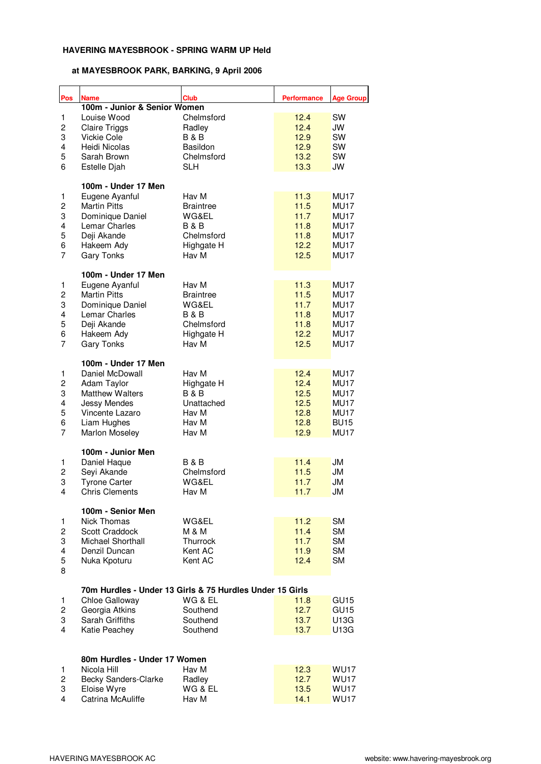| Pos                     | <b>Name</b>                                                                | <b>Club</b>      | <b>Performance</b> | <b>Age Group</b> |
|-------------------------|----------------------------------------------------------------------------|------------------|--------------------|------------------|
|                         | 100m - Junior & Senior Women                                               |                  |                    |                  |
| $\mathbf{1}$            | Louise Wood                                                                | Chelmsford       | 12.4               | SW               |
| $\overline{c}$          | <b>Claire Triggs</b>                                                       | Radley           | 12.4               | JW               |
| 3                       | <b>Vickie Cole</b>                                                         | <b>B&amp;B</b>   | 12.9               | SW               |
| 4                       | Heidi Nicolas                                                              | Basildon         | 12.9               | SW               |
| 5                       | Sarah Brown                                                                | Chelmsford       | 13.2               | SW               |
| 6                       | Estelle Djah                                                               | <b>SLH</b>       | 13.3               | JW               |
|                         | 100m - Under 17 Men                                                        |                  |                    |                  |
| 1                       | Eugene Ayanful                                                             | Hav M            | 11.3               | MU17             |
| $\overline{\mathbf{c}}$ | <b>Martin Pitts</b>                                                        | <b>Braintree</b> | 11.5               | <b>MU17</b>      |
| 3                       | Dominique Daniel                                                           | WG&EL            | 11.7               | <b>MU17</b>      |
| 4                       | Lemar Charles                                                              | <b>B&amp;B</b>   | 11.8               | MU17             |
| 5                       | Deji Akande                                                                | Chelmsford       | 11.8               | MU17             |
| 6                       | Hakeem Ady                                                                 | Highgate H       | 12.2               | MU17             |
| $\overline{7}$          | <b>Gary Tonks</b>                                                          | Hav M            | 12.5               | MU17             |
|                         | 100m - Under 17 Men                                                        |                  |                    |                  |
| 1                       | Eugene Ayanful                                                             | Hav M            | 11.3               | MU17             |
| 2                       | <b>Martin Pitts</b>                                                        | <b>Braintree</b> | 11.5               | <b>MU17</b>      |
| 3                       | Dominique Daniel                                                           | WG&EL            | 11.7               | <b>MU17</b>      |
| 4                       | Lemar Charles                                                              | <b>B&amp;B</b>   | 11.8               | MU17             |
| 5                       | Deji Akande                                                                | Chelmsford       | 11.8               | MU17             |
| 6                       | Hakeem Ady                                                                 | Highgate H       | 12.2               | MU17             |
| $\overline{7}$          | <b>Gary Tonks</b>                                                          | Hav M            | 12.5               | MU17             |
|                         | 100m - Under 17 Men                                                        |                  |                    |                  |
| 1                       | Daniel McDowall                                                            | Hav M            | 12.4               | <b>MU17</b>      |
| 2                       | Adam Taylor                                                                | Highgate H       | 12.4               | <b>MU17</b>      |
| 3                       | <b>Matthew Walters</b>                                                     | <b>B&amp;B</b>   | 12.5               | MU17             |
| 4                       | <b>Jessy Mendes</b>                                                        | Unattached       | 12.5               | MU17             |
| 5                       | Vincente Lazaro                                                            | Hav M            | 12.8               | MU17             |
| 6                       | Liam Hughes                                                                | Hav M            | 12.8               | <b>BU15</b>      |
| $\overline{7}$          | Marlon Moseley                                                             | Hav M            | 12.9               | <b>MU17</b>      |
|                         | 100m - Junior Men                                                          |                  |                    |                  |
| 1                       | Daniel Haque                                                               | <b>B&amp;B</b>   | 11.4               | JM               |
| $\overline{c}$          | Seyi Akande                                                                | Chelmsford       | 11.5               | <b>JM</b>        |
| 3                       | <b>Tyrone Carter</b>                                                       | WG&EL            | 11.7               | JM               |
| 4                       | <b>Chris Clements</b>                                                      | Hav M            | 11.7               | JM               |
|                         | 100m - Senior Men                                                          |                  |                    |                  |
| 1                       | Nick Thomas                                                                | WG&EL            | 11.2               | <b>SM</b>        |
| $\overline{c}$          | Scott Craddock                                                             | M & M            | 11.4               | <b>SM</b>        |
| 3                       | Michael Shorthall                                                          | Thurrock         | 11.7               | <b>SM</b>        |
| 4                       | Denzil Duncan                                                              | Kent AC          | 11.9               | <b>SM</b>        |
| 5<br>8                  | Nuka Kpoturu                                                               | Kent AC          | 12.4               | <b>SM</b>        |
|                         |                                                                            |                  |                    |                  |
| 1                       | 70m Hurdles - Under 13 Girls & 75 Hurdles Under 15 Girls<br>Chloe Galloway | WG & EL          | 11.8               | GU <sub>15</sub> |
| 2                       | Georgia Atkins                                                             | Southend         | 12.7               | GU <sub>15</sub> |
| 3                       | Sarah Griffiths                                                            | Southend         | 13.7               | U13G             |
| 4                       | Katie Peachey                                                              | Southend         | 13.7               | U13G             |
|                         |                                                                            |                  |                    |                  |
|                         | 80m Hurdles - Under 17 Women                                               |                  |                    |                  |
| 1                       | Nicola Hill                                                                | Hav M            | 12.3               | <b>WU17</b>      |
| 2                       | Becky Sanders-Clarke                                                       | Radley           | 12.7               | <b>WU17</b>      |
| 3                       | Eloise Wyre                                                                | WG & EL          | 13.5               | <b>WU17</b>      |
| 4                       | Catrina McAuliffe                                                          | Hav M            | 14.1               | <b>WU17</b>      |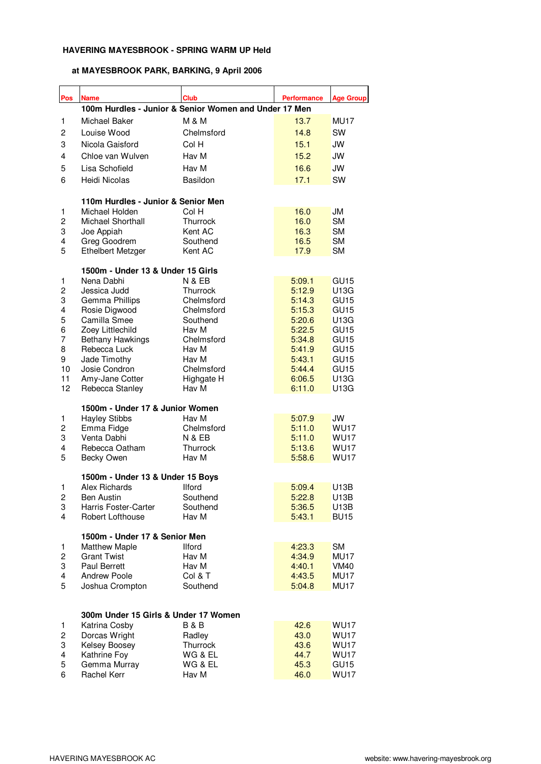| Pos                     | <b>Name</b>                                           | <b>Club</b>              | <b>Performance</b> | <b>Age Group</b>                     |
|-------------------------|-------------------------------------------------------|--------------------------|--------------------|--------------------------------------|
|                         | 100m Hurdles - Junior & Senior Women and Under 17 Men |                          |                    |                                      |
| 1                       | Michael Baker                                         | <b>M &amp; M</b>         | 13.7               | <b>MU17</b>                          |
| 2                       | Louise Wood                                           | Chelmsford               | 14.8               | SW                                   |
| 3                       | Nicola Gaisford                                       | Col H                    | 15.1               | JW                                   |
| 4                       | Chloe van Wulven                                      | Hav M                    | 15.2               | <b>JW</b>                            |
| 5                       | Lisa Schofield                                        | Hav M                    | 16.6               | <b>JW</b>                            |
| 6                       | Heidi Nicolas                                         | Basildon                 | 17.1               | SW                                   |
|                         |                                                       |                          |                    |                                      |
|                         | 110m Hurdles - Junior & Senior Men                    |                          |                    |                                      |
| 1                       | Michael Holden                                        | Col H                    | 16.0               | JМ                                   |
| 2                       | Michael Shorthall                                     | Thurrock                 | 16.0               | <b>SM</b>                            |
| 3                       | Joe Appiah                                            | Kent AC                  | 16.3               | <b>SM</b>                            |
| 4                       | Greg Goodrem                                          | Southend                 | 16.5               | <b>SM</b>                            |
| 5                       | <b>Ethelbert Metzger</b>                              | Kent AC                  | 17.9               | <b>SM</b>                            |
|                         | 1500m - Under 13 & Under 15 Girls                     |                          |                    |                                      |
| 1                       | Nena Dabhi                                            | <b>N &amp; EB</b>        | 5:09.1             | GU <sub>15</sub>                     |
| $\overline{c}$          | Jessica Judd                                          | Thurrock                 | 5:12.9             | U13G                                 |
| 3                       | Gemma Phillips                                        | Chelmsford               | 5:14.3             | GU <sub>15</sub>                     |
| 4                       | Rosie Digwood                                         | Chelmsford               | 5:15.3             | GU <sub>15</sub>                     |
| 5                       | Camilla Smee                                          | Southend                 | 5:20.6             | U13G                                 |
| 6                       | Zoey Littlechild                                      | Hav M                    | 5:22.5             | GU <sub>15</sub>                     |
| $\overline{7}$          | <b>Bethany Hawkings</b>                               | Chelmsford               | 5:34.8             | GU <sub>15</sub>                     |
| 8                       | Rebecca Luck                                          | Hav M                    | 5:41.9             | GU <sub>15</sub>                     |
| 9                       | Jade Timothy                                          | Hav M                    | 5:43.1             | GU <sub>15</sub><br>GU <sub>15</sub> |
| 10<br>11                | Josie Condron<br>Amy-Jane Cotter                      | Chelmsford<br>Highgate H | 5:44.4<br>6:06.5   | U13G                                 |
| 12                      | Rebecca Stanley                                       | Hav M                    | 6:11.0             | U13G                                 |
|                         |                                                       |                          |                    |                                      |
|                         | 1500m - Under 17 & Junior Women                       |                          |                    |                                      |
| 1                       | <b>Hayley Stibbs</b>                                  | Hav M                    | 5:07.9             | JW                                   |
| $\overline{\mathbf{c}}$ | Emma Fidge                                            | Chelmsford               | 5:11.0             | <b>WU17</b>                          |
| 3                       | Venta Dabhi                                           | <b>N &amp; EB</b>        | 5:11.0             | WU <sub>17</sub>                     |
| 4<br>5                  | Rebecca Oatham                                        | Thurrock<br>Hav M        | 5:13.6<br>5:58.6   | <b>WU17</b><br><b>WU17</b>           |
|                         | Becky Owen                                            |                          |                    |                                      |
|                         | 1500m - Under 13 & Under 15 Boys                      |                          |                    |                                      |
| 1                       | Alex Richards                                         | llford                   | 5:09.4             | U13B                                 |
| 2                       | <b>Ben Austin</b>                                     | Southend                 | 5:22.8             | U13B                                 |
| 3                       | <b>Harris Foster-Carter</b>                           | Southend                 | 5:36.5             | U13B                                 |
| 4                       | Robert Lofthouse                                      | Hav M                    | 5:43.1             | <b>BU15</b>                          |
|                         | 1500m - Under 17 & Senior Men                         |                          |                    |                                      |
| 1                       | <b>Matthew Maple</b>                                  | <b>Ilford</b>            | 4:23.3             | <b>SM</b>                            |
| $\overline{\mathbf{c}}$ | <b>Grant Twist</b>                                    | Hav M                    | 4:34.9             | MU17                                 |
| 3                       | Paul Berrett                                          | Hav M                    | 4:40.1             | VM40                                 |
| 4                       | <b>Andrew Poole</b>                                   | Col & T                  | 4:43.5             | MU17                                 |
| 5                       | Joshua Crompton                                       | Southend                 | 5:04.8             | MU17                                 |
|                         |                                                       |                          |                    |                                      |
|                         | 300m Under 15 Girls & Under 17 Women                  |                          |                    |                                      |
| 1                       | Katrina Cosby                                         | <b>B&amp;B</b>           | 42.6               | <b>WU17</b>                          |
| 2                       | Dorcas Wright                                         | Radley                   | 43.0               | <b>WU17</b>                          |
| 3                       | Kelsey Boosey                                         | Thurrock                 | 43.6               | <b>WU17</b>                          |
| 4                       | Kathrine Foy                                          | WG & EL                  | 44.7               | <b>WU17</b>                          |
| 5                       | Gemma Murray                                          | WG & EL                  | 45.3               | GU <sub>15</sub>                     |
| 6                       | Rachel Kerr                                           | Hav M                    | 46.0               | <b>WU17</b>                          |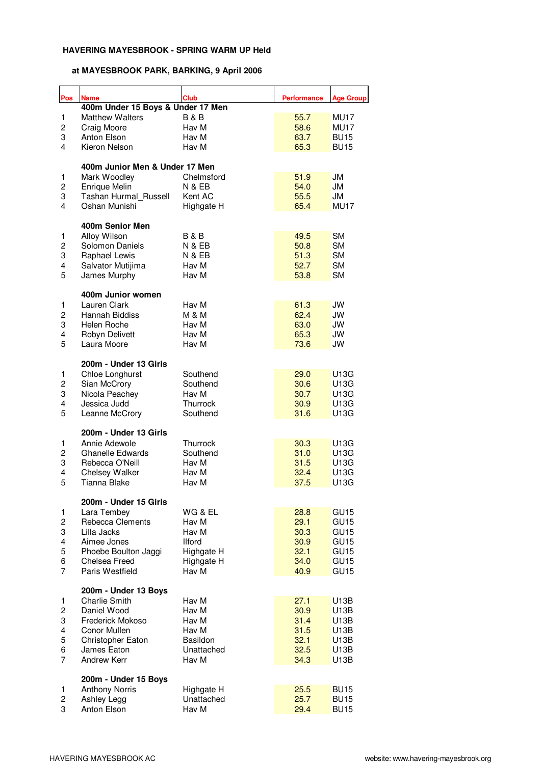| Pos                 | <b>Name</b>                       | <b>Club</b>       | <b>Performance</b> | <b>Age Group</b>       |
|---------------------|-----------------------------------|-------------------|--------------------|------------------------|
|                     | 400m Under 15 Boys & Under 17 Men |                   |                    |                        |
| 1                   | <b>Matthew Walters</b>            | <b>B&amp;B</b>    | 55.7               | MU17                   |
| 2                   | Craig Moore                       | Hav M             | 58.6               | MU17                   |
| 3                   | Anton Elson                       | Hav M             | 63.7               | <b>BU15</b>            |
| 4                   | Kieron Nelson                     | Hav M             | 65.3               | <b>BU15</b>            |
|                     | 400m Junior Men & Under 17 Men    |                   |                    |                        |
| 1                   | Mark Woodley                      | Chelmsford        | 51.9               | JM                     |
| $\overline{c}$      | Enrique Melin                     | <b>N &amp; EB</b> | 54.0               | JM                     |
| 3                   | Tashan Hurmal Russell             | Kent AC           | 55.5               | JM                     |
| 4                   | Oshan Munishi                     | Highgate H        | 65.4               | MU17                   |
|                     | 400m Senior Men                   |                   |                    |                        |
| 1                   | Alloy Wilson                      | <b>B&amp;B</b>    | 49.5               | <b>SM</b>              |
| $\overline{c}$      | Solomon Daniels                   | <b>N &amp; EB</b> | 50.8               | <b>SM</b>              |
| 3                   | Raphael Lewis                     | <b>N &amp; EB</b> | 51.3               | <b>SM</b>              |
| 4<br>5              | Salvator Mutijima                 | Hav M             | 52.7<br>53.8       | <b>SM</b><br><b>SM</b> |
|                     | James Murphy                      | Hav M             |                    |                        |
|                     | 400m Junior women                 | Hav M             |                    |                        |
| 1<br>2              | Lauren Clark<br>Hannah Biddiss    | <b>M &amp; M</b>  | 61.3<br>62.4       | JW<br>JW               |
| 3                   | Helen Roche                       | Hav M             | 63.0               | JW                     |
| 4                   | Robyn Delivett                    | Hav M             | 65.3               | JW                     |
| 5                   | Laura Moore                       | Hav M             | 73.6               | JW                     |
|                     |                                   |                   |                    |                        |
|                     | 200m - Under 13 Girls             |                   |                    |                        |
| 1                   | Chloe Longhurst                   | Southend          | 29.0               | U13G                   |
| 2                   | Sian McCrory                      | Southend          | 30.6               | U13G                   |
| 3                   | Nicola Peachey                    | Hav M             | 30.7               | U13G                   |
| 4                   | Jessica Judd                      | Thurrock          | 30.9               | U13G                   |
| 5                   | Leanne McCrory                    | Southend          | 31.6               | U13G                   |
|                     | 200m - Under 13 Girls             |                   |                    |                        |
| 1                   | Annie Adewole                     | Thurrock          | 30.3               | U13G                   |
| 2                   | Ghanelle Edwards                  | Southend          | 31.0               | U13G                   |
| 3                   | Rebecca O'Neill                   | Hav M             | 31.5               | U13G                   |
| 4                   | <b>Chelsey Walker</b>             | Hav M             | 32.4               | U13G                   |
| 5                   | Tianna Blake                      | Hav M             | 37.5               | U13G                   |
|                     | 200m - Under 15 Girls             |                   |                    |                        |
| 1                   | Lara Tembey                       | WG & EL           | 28.8               | GU <sub>15</sub>       |
| 2                   | Rebecca Clements                  | Hav M             | 29.1               | GU <sub>15</sub>       |
| 3                   | Lilla Jacks                       | Hav M             | 30.3               | GU <sub>15</sub>       |
| 4                   | Aimee Jones                       | <b>Ilford</b>     | 30.9               | GU <sub>15</sub>       |
| 5                   | Phoebe Boulton Jaggi              | Highgate H        | 32.1               | GU <sub>15</sub>       |
| 6<br>$\overline{7}$ | Chelsea Freed                     | Highgate H        | 34.0               | GU <sub>15</sub>       |
|                     | Paris Westfield                   | Hav M             | 40.9               | GU <sub>15</sub>       |
|                     | 200m - Under 13 Boys              |                   |                    |                        |
| 1                   | <b>Charlie Smith</b>              | Hav M             | 27.1               | U13B                   |
| 2                   | Daniel Wood                       | Hav M             | 30.9               | U13B                   |
| 3                   | Frederick Mokoso                  | Hav M             | 31.4               | U13B                   |
| 4                   | Conor Mullen                      | Hav M             | 31.5               | U13B                   |
| 5                   | Christopher Eaton                 | Basildon          | 32.1               | U13B                   |
| 6                   | James Eaton                       | Unattached        | 32.5               | U13B                   |
| $\overline{7}$      | <b>Andrew Kerr</b>                | Hav M             | 34.3               | U13B                   |
|                     | 200m - Under 15 Boys              |                   |                    |                        |
| 1                   | <b>Anthony Norris</b>             | Highgate H        | 25.5               | <b>BU15</b>            |
| 2                   | Ashley Legg                       | Unattached        | 25.7               | <b>BU15</b>            |
| 3                   | Anton Elson                       | Hav M             | 29.4               | <b>BU15</b>            |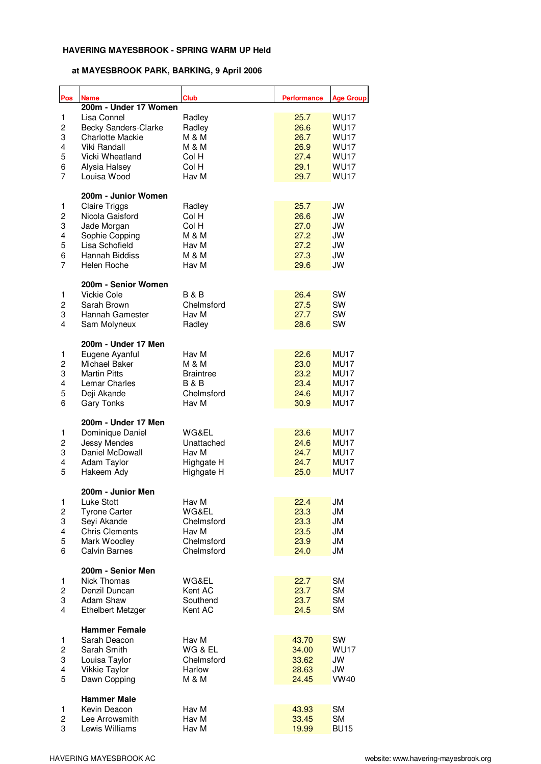| Pos                     | <b>Name</b>                               | <b>Club</b>               | <b>Performance</b> | <b>Age Group</b>       |
|-------------------------|-------------------------------------------|---------------------------|--------------------|------------------------|
|                         | 200m - Under 17 Women                     |                           |                    |                        |
| 1                       | Lisa Connel                               | Radley                    | 25.7               | <b>WU17</b>            |
| $\overline{c}$          | Becky Sanders-Clarke                      | Radley                    | 26.6               | <b>WU17</b>            |
| 3                       | <b>Charlotte Mackie</b>                   | M & M                     | 26.7               | <b>WU17</b>            |
| 4                       | Viki Randall                              | <b>M &amp; M</b>          | 26.9               | <b>WU17</b>            |
| 5                       | Vicki Wheatland                           | Col H                     | 27.4               | <b>WU17</b>            |
| 6                       | Alysia Halsey                             | Col H                     | 29.1               | <b>WU17</b>            |
| $\overline{7}$          | Louisa Wood                               | Hav M                     | 29.7               | <b>WU17</b>            |
|                         | 200m - Junior Women                       |                           |                    |                        |
| 1                       | <b>Claire Triggs</b>                      | Radley                    | 25.7               | JW                     |
| $\overline{\mathbf{c}}$ | Nicola Gaisford                           | Col H                     | 26.6               | <b>JW</b>              |
| 3                       | Jade Morgan                               | Col H                     | 27.0               | <b>JW</b>              |
| 4<br>5                  | Sophie Copping<br>Lisa Schofield          | <b>M &amp; M</b><br>Hav M | 27.2<br>27.2       | <b>JW</b>              |
| 6                       | Hannah Biddiss                            |                           | 27.3               | JW                     |
| $\overline{7}$          |                                           | M & M                     |                    | JW                     |
|                         | Helen Roche                               | Hav M                     | 29.6               | JW                     |
| 1                       | 200m - Senior Women<br><b>Vickie Cole</b> | <b>B&amp;B</b>            | 26.4               | SW                     |
| $\overline{c}$          | Sarah Brown                               | Chelmsford                | 27.5               | SW                     |
| 3                       | Hannah Gamester                           | Hav M                     | 27.7               | SW                     |
| 4                       | Sam Molyneux                              | Radley                    | 28.6               | SW                     |
|                         |                                           |                           |                    |                        |
| 1                       | 200m - Under 17 Men<br>Eugene Ayanful     | Hav M                     | 22.6               | MU17                   |
| $\overline{c}$          | Michael Baker                             | <b>M &amp; M</b>          | 23.0               | MU17                   |
| 3                       | <b>Martin Pitts</b>                       | <b>Braintree</b>          | 23.2               | MU17                   |
| 4                       | Lemar Charles                             | B & B                     | 23.4               | MU17                   |
| 5                       | Deji Akande                               | Chelmsford                | 24.6               | MU17                   |
| 6                       | <b>Gary Tonks</b>                         | Hav M                     | 30.9               | MU17                   |
|                         |                                           |                           |                    |                        |
|                         | 200m - Under 17 Men                       |                           |                    |                        |
| 1                       | Dominique Daniel                          | WG&EL                     | 23.6               | MU17                   |
| 2                       | <b>Jessy Mendes</b>                       | Unattached                | 24.6               | MU17                   |
| 3                       | Daniel McDowall                           | Hav M                     | 24.7               | MU17                   |
| 4                       | Adam Taylor                               | Highgate H                | 24.7               | <b>MU17</b>            |
| 5                       | Hakeem Ady                                | Highgate H                | 25.0               | MU17                   |
|                         | 200m - Junior Men                         |                           |                    |                        |
| 1<br>2                  | Luke Stott                                | Hav M<br>WG&EL            | 22.4<br>23.3       | <b>JM</b><br><b>JM</b> |
|                         | <b>Tyrone Carter</b><br>Seyi Akande       | Chelmsford                |                    |                        |
| 3<br>4                  | <b>Chris Clements</b>                     | Hav M                     | 23.3<br>23.5       | <b>JM</b><br><b>JM</b> |
| 5                       | Mark Woodley                              | Chelmsford                | 23.9               | <b>JM</b>              |
| 6                       | <b>Calvin Barnes</b>                      | Chelmsford                | 24.0               | <b>JM</b>              |
|                         |                                           |                           |                    |                        |
|                         | 200m - Senior Men                         |                           |                    |                        |
| 1<br>$\overline{c}$     | Nick Thomas<br>Denzil Duncan              | WG&EL<br>Kent AC          | 22.7<br>23.7       | <b>SM</b><br><b>SM</b> |
|                         |                                           |                           |                    |                        |
| 3                       | Adam Shaw                                 | Southend                  | 23.7               | <b>SM</b>              |
| 4                       | <b>Ethelbert Metzger</b>                  | Kent AC                   | 24.5               | <b>SM</b>              |
|                         | <b>Hammer Female</b>                      |                           |                    |                        |
| 1                       | Sarah Deacon                              | Hav M                     | 43.70              | SW                     |
| 2                       | Sarah Smith                               | WG & EL                   | 34.00              | <b>WU17</b>            |
| 3                       | Louisa Taylor                             | Chelmsford                | 33.62              | JW                     |
| 4                       | <b>Vikkie Taylor</b>                      | Harlow                    | 28.63              | JW                     |
| 5                       | Dawn Copping                              | M & M                     | 24.45              | <b>VW40</b>            |
|                         | <b>Hammer Male</b>                        |                           |                    |                        |
| 1                       | Kevin Deacon                              | Hav M                     | 43.93              | <b>SM</b>              |
| 2                       | Lee Arrowsmith                            | Hav M                     | 33.45              | <b>SM</b>              |
| 3                       | Lewis Williams                            | Hav M                     | 19.99              | <b>BU15</b>            |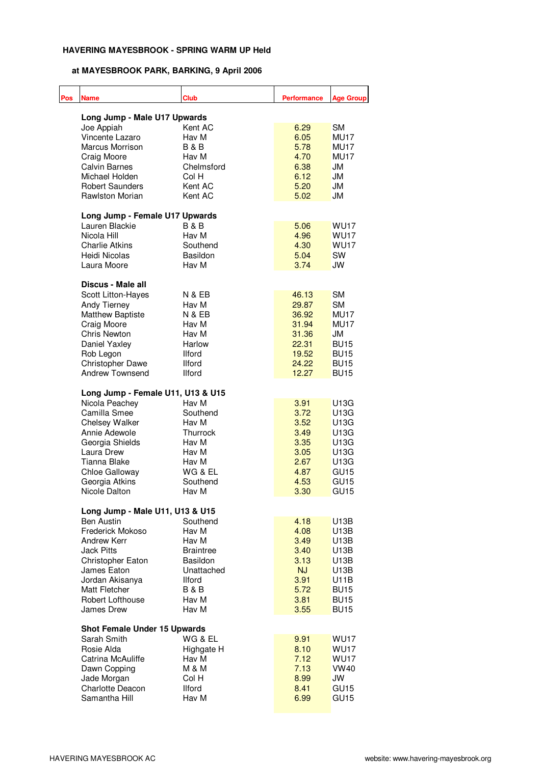| Pos | <b>Name</b>                         | <b>Club</b>      | <b>Performance</b> | <b>Age Group</b> |
|-----|-------------------------------------|------------------|--------------------|------------------|
|     | Long Jump - Male U17 Upwards        |                  |                    |                  |
|     | Joe Appiah                          | Kent AC          | 6.29               | <b>SM</b>        |
|     | Vincente Lazaro                     | Hav M            | 6.05               | MU17             |
|     | Marcus Morrison                     | B & B            | 5.78               | MU17             |
|     | Craig Moore                         | Hav M            | 4.70               | MU17             |
|     | <b>Calvin Barnes</b>                | Chelmsford       | 6.38               | JM               |
|     | Michael Holden                      | Col H            | 6.12               | JM               |
|     | <b>Robert Saunders</b>              | Kent AC          | 5.20               | JM               |
|     | Rawlston Morian                     | Kent AC          | 5.02               | JM               |
|     | Long Jump - Female U17 Upwards      |                  |                    |                  |
|     | Lauren Blackie                      | <b>B&amp;B</b>   | 5.06               | <b>WU17</b>      |
|     | Nicola Hill                         | Hav M            | 4.96               | <b>WU17</b>      |
|     | <b>Charlie Atkins</b>               | Southend         | 4.30               | <b>WU17</b>      |
|     | Heidi Nicolas                       | Basildon         | 5.04               | SW               |
|     | Laura Moore                         | Hav M            | 3.74               | JW               |
|     | Discus - Male all                   |                  |                    |                  |
|     | <b>Scott Litton-Hayes</b>           | N & EB           | 46.13              | <b>SM</b>        |
|     | Andy Tierney                        | Hav M            | 29.87              | <b>SM</b>        |
|     | <b>Matthew Baptiste</b>             | N & EB           | 36.92              | MU17             |
|     | Craig Moore                         | Hav M            | 31.94              | MU17             |
|     | Chris Newton                        | Hav M            | 31.36              | JM               |
|     | Daniel Yaxley                       | Harlow           | 22.31              | <b>BU15</b>      |
|     | Rob Legon                           | <b>Ilford</b>    | 19.52              | <b>BU15</b>      |
|     | <b>Christopher Dawe</b>             | <b>Ilford</b>    | 24.22              | <b>BU15</b>      |
|     | <b>Andrew Townsend</b>              | <b>Ilford</b>    | 12.27              | <b>BU15</b>      |
|     | Long Jump - Female U11, U13 & U15   |                  |                    |                  |
|     | Nicola Peachey                      | Hav M            | 3.91               | U13G             |
|     | Camilla Smee                        | Southend         | 3.72               | U13G             |
|     | Chelsey Walker                      | Hav M            | 3.52               | U13G             |
|     | Annie Adewole                       | Thurrock         | 3.49               | U13G             |
|     | Georgia Shields                     | Hav M            | 3.35               | U13G             |
|     | Laura Drew                          | Hav M            | 3.05               | U13G             |
|     | Tianna Blake                        | Hav M            | 2.67               | U13G             |
|     | Chloe Galloway                      | WG & EL          | 4.87               | GU <sub>15</sub> |
|     | Georgia Atkins                      | Southend         | 4.53               | GU <sub>15</sub> |
|     | Nicole Dalton                       | Hav M            | 3.30               | GU <sub>15</sub> |
|     | Long Jump - Male U11, U13 & U15     |                  |                    |                  |
|     | <b>Ben Austin</b>                   | Southend         | 4.18               | U13B             |
|     | Frederick Mokoso                    | Hav M            | 4.08               | U13B             |
|     | <b>Andrew Kerr</b>                  | Hav M            | 3.49               | U13B             |
|     | <b>Jack Pitts</b>                   | <b>Braintree</b> | 3.40               | U13B             |
|     | Christopher Eaton                   | Basildon         | 3.13               | U13B             |
|     | James Eaton                         | Unattached       | <b>NJ</b>          | U13B             |
|     | Jordan Akisanya                     | <b>Ilford</b>    | 3.91               | U11B             |
|     | Matt Fletcher                       | <b>B&amp;B</b>   | 5.72               | <b>BU15</b>      |
|     | Robert Lofthouse                    | Hav M            | 3.81               | <b>BU15</b>      |
|     | James Drew                          | Hav M            | 3.55               | <b>BU15</b>      |
|     | <b>Shot Female Under 15 Upwards</b> |                  |                    |                  |
|     | Sarah Smith                         | WG & EL          | 9.91               | <b>WU17</b>      |
|     | Rosie Alda                          | Highgate H       | 8.10               | <b>WU17</b>      |
|     | Catrina McAuliffe                   | Hav M            | 7.12               | <b>WU17</b>      |
|     | Dawn Copping                        | M & M            | 7.13               | <b>VW40</b>      |
|     | Jade Morgan                         | Col H            | 8.99               | JW               |
|     | <b>Charlotte Deacon</b>             | <b>Ilford</b>    | 8.41               | GU <sub>15</sub> |
|     | Samantha Hill                       | Hav M            | 6.99               | GU <sub>15</sub> |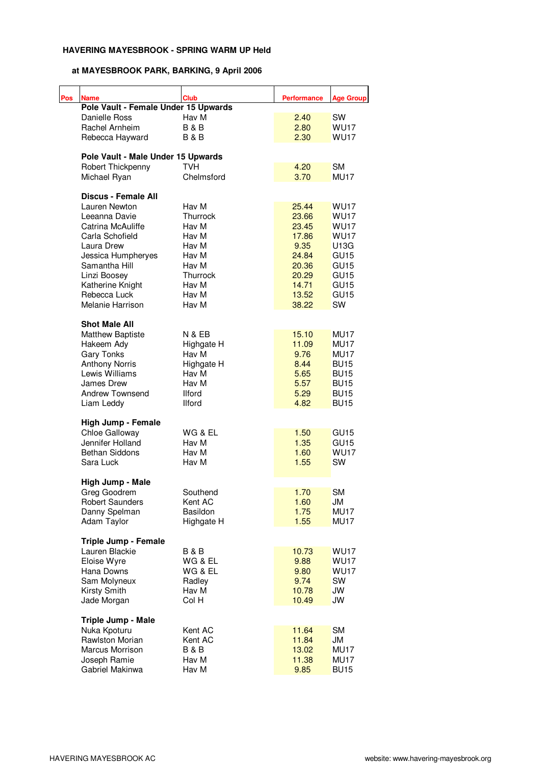| Pos | <b>Name</b>                          | <b>Club</b>       | <b>Performance</b> | <b>Age Group</b> |
|-----|--------------------------------------|-------------------|--------------------|------------------|
|     | Pole Vault - Female Under 15 Upwards |                   |                    |                  |
|     | Danielle Ross                        | Hav M             | 2.40               | SW               |
|     | Rachel Arnheim                       | <b>B&amp;B</b>    | 2.80               | <b>WU17</b>      |
|     | Rebecca Hayward                      | <b>B&amp;B</b>    | 2.30               | <b>WU17</b>      |
|     |                                      |                   |                    |                  |
|     | Pole Vault - Male Under 15 Upwards   |                   |                    |                  |
|     | Robert Thickpenny                    | TVH               | 4.20               | <b>SM</b>        |
|     | Michael Ryan                         | Chelmsford        | 3.70               | <b>MU17</b>      |
|     | <b>Discus - Female All</b>           |                   |                    |                  |
|     | Lauren Newton                        | Hav M             | 25.44              | <b>WU17</b>      |
|     | Leeanna Davie                        | Thurrock          | 23.66              | <b>WU17</b>      |
|     | Catrina McAuliffe                    | Hav M             | 23.45              | <b>WU17</b>      |
|     | Carla Schofield                      | Hav M             | 17.86              | <b>WU17</b>      |
|     | Laura Drew                           | Hav M             | 9.35               | U13G             |
|     | Jessica Humpheryes                   | Hav M             | 24.84              | GU <sub>15</sub> |
|     | Samantha Hill                        | Hav M             | 20.36              | GU <sub>15</sub> |
|     |                                      |                   |                    |                  |
|     | Linzi Boosey                         | Thurrock          | 20.29              | GU <sub>15</sub> |
|     | Katherine Knight                     | Hav M             | 14.71              | GU <sub>15</sub> |
|     | Rebecca Luck                         | Hav M             | 13.52              | GU <sub>15</sub> |
|     | Melanie Harrison                     | Hav M             | 38.22              | SW               |
|     | <b>Shot Male All</b>                 |                   |                    |                  |
|     | <b>Matthew Baptiste</b>              | <b>N &amp; EB</b> | 15.10              | MU17             |
|     | Hakeem Ady                           | Highgate H        | 11.09              | MU17             |
|     | <b>Gary Tonks</b>                    | Hav M             | 9.76               | MU17             |
|     | <b>Anthony Norris</b>                | Highgate H        | 8.44               | <b>BU15</b>      |
|     | Lewis Williams                       | Hav M             | 5.65               | <b>BU15</b>      |
|     | James Drew                           | Hav M             | 5.57               | <b>BU15</b>      |
|     |                                      |                   |                    |                  |
|     | <b>Andrew Townsend</b>               | <b>Ilford</b>     | 5.29               | <b>BU15</b>      |
|     | Liam Leddy                           | <b>Ilford</b>     | 4.82               | <b>BU15</b>      |
|     | High Jump - Female                   |                   |                    |                  |
|     | Chloe Galloway                       | WG & EL           | 1.50               | GU <sub>15</sub> |
|     | Jennifer Holland                     | Hav M             | 1.35               | GU <sub>15</sub> |
|     | <b>Bethan Siddons</b>                | Hav M             | 1.60               | <b>WU17</b>      |
|     | Sara Luck                            | Hav M             | 1.55               | SW               |
|     | High Jump - Male                     |                   |                    |                  |
|     | Greg Goodrem                         | Southend          | 1.70               | SM               |
|     | <b>Robert Saunders</b>               | Kent AC           | 1.60               | JM               |
|     | Danny Spelman                        | Basildon          | 1.75               | MU17             |
|     | Adam Taylor                          | Highgate H        | 1.55               | <b>MU17</b>      |
|     |                                      |                   |                    |                  |
|     | Triple Jump - Female                 |                   |                    |                  |
|     | Lauren Blackie                       | <b>B&amp;B</b>    | 10.73              | <b>WU17</b>      |
|     | Eloise Wyre                          | WG & EL           | 9.88               | <b>WU17</b>      |
|     | Hana Downs                           | WG & EL           | 9.80               | <b>WU17</b>      |
|     | Sam Molyneux                         | Radley            | 9.74               | SW               |
|     | Kirsty Smith                         | Hav M             | 10.78              | JW               |
|     | Jade Morgan                          | Col H             | 10.49              | <b>JW</b>        |
|     | Triple Jump - Male                   |                   |                    |                  |
|     |                                      |                   |                    |                  |
|     | Nuka Kpoturu                         | Kent AC           | 11.64              | <b>SM</b>        |
|     | <b>Rawlston Morian</b>               | Kent AC           | 11.84              | JM               |
|     | Marcus Morrison                      | B & B             | 13.02              | <b>MU17</b>      |
|     | Joseph Ramie                         | Hav M             | 11.38              | MU17             |
|     | Gabriel Makinwa                      | Hav M             | 9.85               | <b>BU15</b>      |